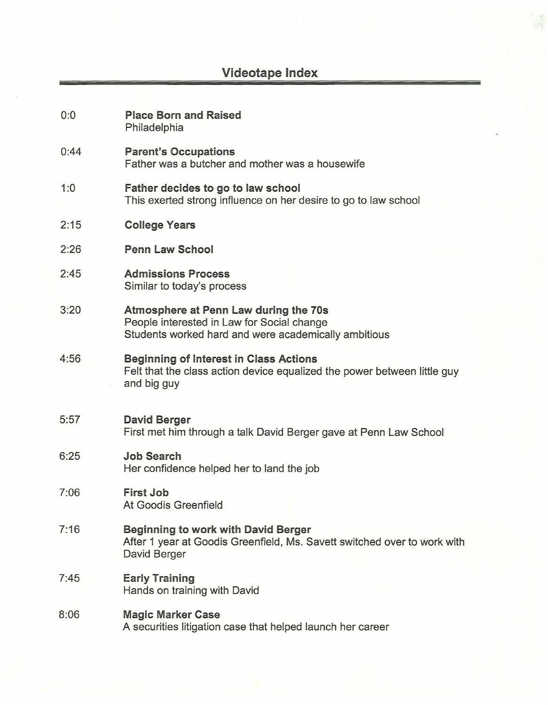# **Videotape Index**

| 0:0  | <b>Place Born and Raised</b><br>Philadelphia                                                                                                |
|------|---------------------------------------------------------------------------------------------------------------------------------------------|
| 0:44 | <b>Parent's Occupations</b><br>Father was a butcher and mother was a housewife                                                              |
| 1:0  | Father decides to go to law school<br>This exerted strong influence on her desire to go to law school                                       |
| 2:15 | <b>College Years</b>                                                                                                                        |
| 2:26 | <b>Penn Law School</b>                                                                                                                      |
| 2:45 | <b>Admissions Process</b><br>Similar to today's process                                                                                     |
| 3:20 | Atmosphere at Penn Law during the 70s<br>People interested in Law for Social change<br>Students worked hard and were academically ambitious |
| 4:56 | <b>Beginning of Interest in Class Actions</b><br>Felt that the class action device equalized the power between little guy<br>and big guy    |
| 5:57 | <b>David Berger</b><br>First met him through a talk David Berger gave at Penn Law School                                                    |
| 6:25 | <b>Job Search</b><br>Her confidence helped her to land the job                                                                              |
| 7:06 | <b>First Job</b><br>At Goodis Greenfield                                                                                                    |
| 7:16 | <b>Beginning to work with David Berger</b><br>After 1 year at Goodis Greenfield, Ms. Savett switched over to work with<br>David Berger      |
| 7:45 | <b>Early Training</b><br>Hands on training with David                                                                                       |
| 8:06 | <b>Magic Marker Case</b><br>A securities litigation case that helped launch her career                                                      |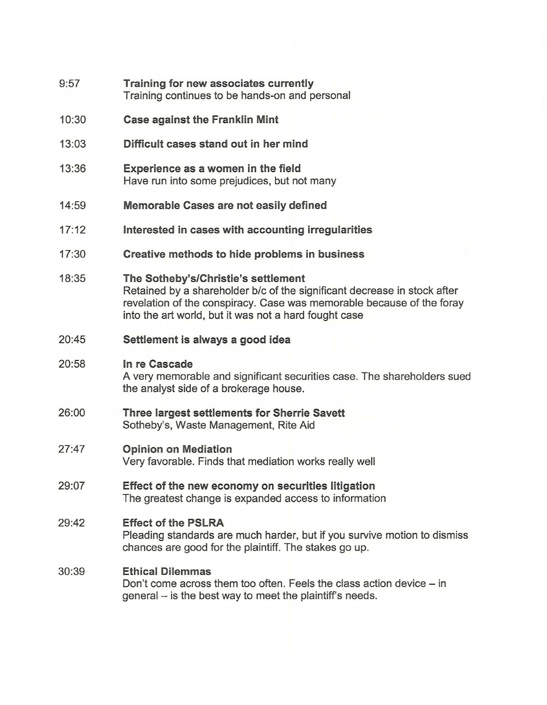- $9:57$ **Training for new associates currently**  Training continues to be hands-on and personal
- 10:30 **Case against the Franklin Mint**
- 13:03 **Difficult cases stand out in her mind**
- 13:36 **Experience as a women in the field**  Have run into some prejudices, but not many
- 14:59 **Memorable Cases are not easily defined**
- $17:12$ **Interested in cases with accounting irregularities**
- 17:30 **Creative methods to hide problems in business**
- 18:35 **The Sotheby's/Christie's settlement**  Retained by a shareholder b/c of the significant decrease in stock after revelation of the conspiracy. Case was memorable because of the foray into the art world, but it was not a hard fought case
- $20.45$ **Settlement is always a good idea**

#### 20:58 **In re Cascade**

A very memorable and significant securities case. The shareholders sued the analyst side of a brokerage house.

26:00 **Three largest settlements for Sherrie Savett**  Sotheby's, Waste Management, Rite Aid

## 27:47 **Opinion on Mediation**  Very favorable. Finds that mediation works really well

29:07 **Effect of the new economy on securities litigation**  The greatest change is expanded access to information

## 29:42 **Effect of the PSLRA**

Pleading standards are much harder, but if you survive motion to dismiss chances are good for the plaintiff. The stakes go up.

### 30:39 **Ethical Dilemmas**

Don't come across them too often. Feels the class action device - in general – is the best way to meet the plaintiff's needs.